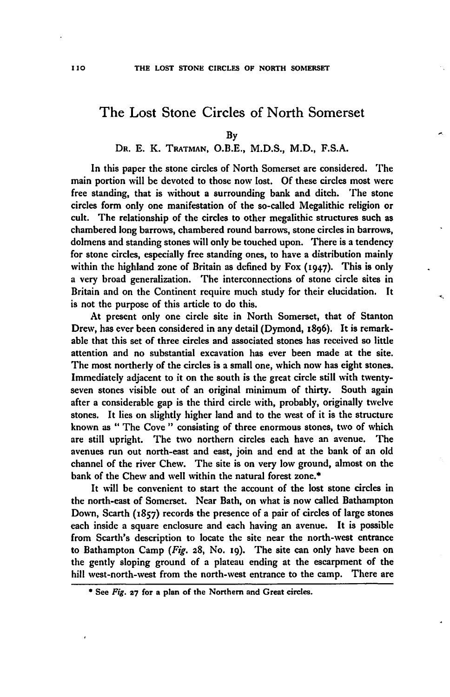# The Lost Stone Circles of North Somerset

### DR. E. K. TRATMAN, O.B.E., M.D.S., M.D., F.S.A.

In this paper the stone circles of North Somerset are considered. The main portion will be devoted to those now lost. Of these circles most were free standing, that is without a surrounding bank and ditch. The stone circles form only one manifestation of the so-called Megalithic religion or cult. The relationship of the circles to other megalithic structures such as chambered long barrows, chambered round barrows, stone circles in barrows, dolmens and standing stones will only be touched upon. There is a tendency for stone circles, especially free standing ones, to have a distribution mainly within the highland zone of Britain as defined by Fox (1947). This is only a very broad generalization. The interconnections of stone circle sites in Britain and on the Continent require much study for their elucidation. It is not the purpose of this article to do this.

<,

At present only one circle site in North Somerset, that of Stanton Drew, has ever been considered in any detail (Dymond, 1896). It is remarkable that this set of three circles and associated stones has received so little attention and no substantial excavation has ever been made at the site. The most northerly of the circles is a small one, which now has eight stones. Immediately adjacent to it on the south is the great circle still with twentyseven stones visible out of an original minimum of thirty. South again after a considerable gap is the third circle with, probably, originally twelve stones. It lies on slightly higher land and to the west of it is the structure known as " The Cove" consisting of three enormous stones, two of which are still upright. The two northern circles each have an avenue. The avenues run out north-east and cast, join and end at the bank of an old channel of the river Chew. The site is on very low ground, almost on the bank of the Chew and well within the natural forest zone.\*<br>It will be convenient to start the account of the lost stone circles in

the north-east of Somerset. Near Bath, on what is now called Bathampton Down, Scarth (1857) records the presence of a pair of circles of large stones each inside a square enclosure and each having an avenue. It is possible from Scarth's description to locate the site near the north-west entrance to Bathampton Camp (Fig.  $28$ , No. 19). The site can only have been on the gently sloping ground of a plateau ending at the escarpment of the hill west-north-west from the north-west entrance to the camp. There are

By

<sup>•</sup> See Fig. 27 for a plan of the Northern and Great circles.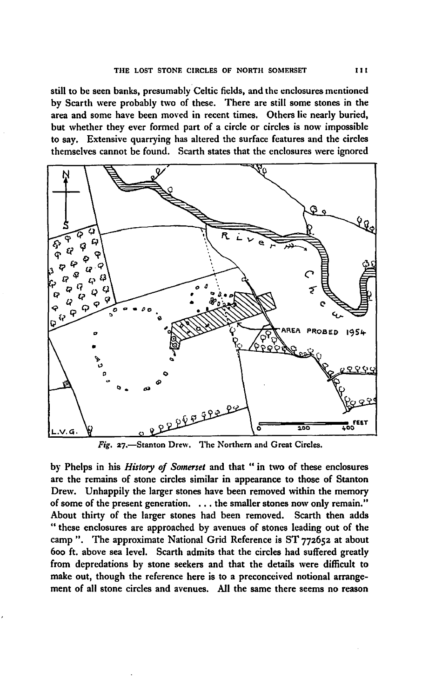still to be seen banks, presumably Celtic fields, and the enclosures mentioned by Scarth were probably two of these. There are still some stones in the area and some have been moved in recent times. Others lie nearly buried, but whether they ever formed part of a circle or circles is now impossible to say. Extensive quarrying has altered the surface features and the circles themselves cannot be found. Scarth states that the enclosures were ignored



Fig. 27.-Stanton Drew. The Northern and Great Circles.

by Phelps in his *History of Somerset* and that " in two of these enclosures are the remains of stone circles similar in appearance to those of Stanton Drew. Unhappily the larger stones have been removed within the memory of some of the present generation. . .. the smaller stones now only remain." About thirty of the larger stones had been removed. Scarth then adds " these enclosures are approached by avenues of stones leading out of the camp". The approximate National Grid Reference is ST 772652 at about 600 ft. above sea level. Scarth admits that the circles had suffered greatly from depredations by stone seekers and that the details were difficult to make out, though the reference here is to a preconceived notional arrangement of all stone circles and avenues. All the same there seems no reason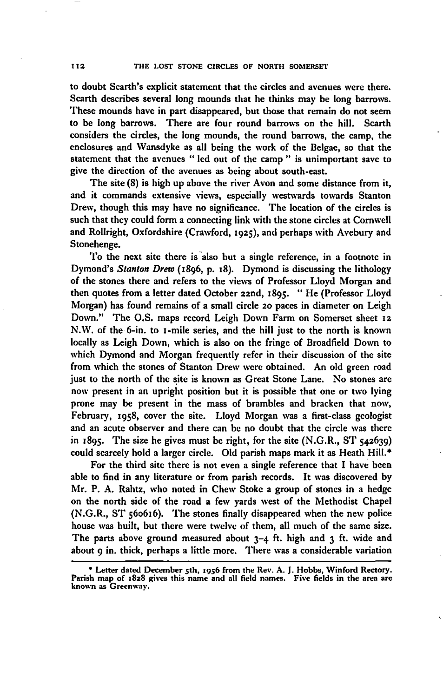to doubt Scarth's explicit statement that the circles and avenues were there. Scarth describes several long mounds that he thinks may be long barrows. These mounds have in part disappeared, but those that remain do not seem to be long barrows. There are four round barrows on the hill. Searth considers the circles, the long mounds, the round barrows, the camp, the enclosures and Wansdyke as all being the work of the Belgae, so that the statement that the avenues " led out of the camp " is unimportant save to give the direction of the avenues as being about south-east.

The site (8) is high up above the river Avon and some distance from it, and it commands extensive views, especially westwards towards Stanton Drew, though this may have no significance. The location of the circles is such that they could form a connecting link with the stone circles at Cornwell and Rollright, Oxfordshire (Crawford, 1925), and perhaps with Avebury and Stonehenge.

To the next site there is also but a single reference, in a footnote in Dymond's *Stanton Drew* (1896, p. 18). Dymond is discussing the lithology of the stones there and refers to the views of Professor Lloyd Morgan and then quotes from a letter dated October 22nd, 1895. "He (Professor Lloyd Morgan) has found remains of a small circle 20 paces in diameter on Leigh Down." The O.S. maps record Leigh Down Farm on Somerset sheet 12 N.W. of the 6-in. to I-mile series, and the hill just to the north is known locally as Leigh Down, which is also on the fringe of Broadfield Down to which Dymond and Morgan frequently refer in their discussion of the site from which the stones of Stanton Drew were obtained. An old green road just to the north of the site is known as Great Stone Lane. No stones are now present in an upright position but it is possible that one or two lying prone may be present in the mass of brambles and bracken that now, February, 1958, cover the site. Lloyd Morgan was a first-class geologist and an acute observer and there can be no doubt that the circle was there in  $1895$ . The size he gives must be right, for the site (N.G.R., ST  $542639$ ) could scarcely hold a larger circle. Old parish maps mark it as Heath Hill.\*

For the third site there is not even a single reference that I have been able to find in any literature or from parish records. It was discovered by Mr. P. A. Rahtz, who noted in Chew Stoke a group of stones in a hedge on the north side of the road a few yards west of the Methodist Chapel (N.G.R., ST 560616). The stones finally disappeared when the new police house was built, but there were twelve of them, all much of the same size. The parts above ground measured about 3-4 ft. high and 3 ft. wide and about 9 in. thick, perhaps a little more. There was a considerable variation

<sup>\*</sup> Letter dated December 5th, 1956 from the Rev. A. J. Hobbs, Winford Rectory. Parish map of 1828 gives this name and all field names. Five fields in the area are<br>known as Greenway.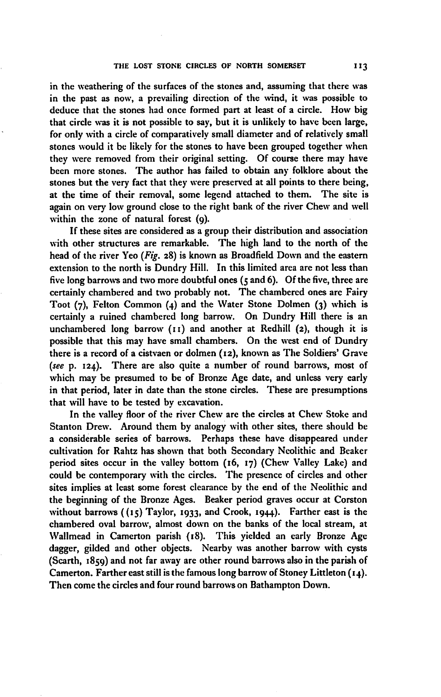in the weathering of the surfaces of the stones and, assuming that there was in the past as now, a prevailing direction of the wind, it was possible to deduce that the stones had once formed part at least of a circle. How big that circle was it is not possible to say, but it is unlikely to have been large, for only with a circle of comparatively small diameter and of relatively small stones would it be likely for the stones to have been grouped together when they were removed from their original setting. Of course there may have been more stones. The author has failed to obtain any folklore about the stones but the very fact that they were preserved at all points to there being, at the time of their removal, some legend attached to them. The site is again on very low ground close to the right bank of the river Chew and well within the zone of natural forest (9).

If these sites are considered as a group their distribution and association with other structures are remarkable. The high land to the north of the head of the river Yeo (Fig. 28) is known as Broadfield Down and the eastern extension to the north is Dundry Hill. In this limited area are not less than five long barrows and two more doubtful ones  $(s \text{ and } 6)$ . Of the five, three are certainly chambered and two probably not. The chambered ones arc Fairy Toot (7), Felton Common (4) and the Water Stone Dolmen (3) which is certainly a ruined chambered long barrow. On Dundry Hill there is an unchambered long barrow  $(11)$  and another at Redhill  $(2)$ , though it is possible that this may have small chambers. On the west end of Dundry there is a record of a cistvaen or dolmen (12), known as The Soldiers' Grave *(see* p. 124). There are also quite a number of round barrows, most of which may be presumed to be of Bronze Age date, and unless very early in that period, later in date than the stone circles. These are presumptions that will have to be tested by excavation.

In the valley floor of the river Chew are the circles at Chew Stoke and Stanton Drew. Around them by analogy with other sites, there should be a considerable series of barrows. Perhaps these have disappeared under cultivation for Rahtz has shown that both Secondary Neolithic and Beaker period sites occur in the valley bottom (16, 17) (Chew Valley Lake) and could be contemporary with the circles. The presence of circles and other sites implies at least some forest clearance by the end of the Neolithic and the beginning of the Bronze Ages. Beaker period graves occur at Corston without barrows ((15) Taylor, 1933, and Crook, 1944). Farther east is the chambered oval barrow, almost down on the banks of the local stream, at Wallmead in Camerton parish (18). This yielded an early Bronze Age dagger, gilded and other objects. Nearby was another barrow with cysts (Scarth, 1859) and not far away are other round barrows also in the parish of Camerton. Farther east still is the famous long barrow of Stoney Littleton  $(14)$ . Then come the circles and four round barrows on Bathampton Down.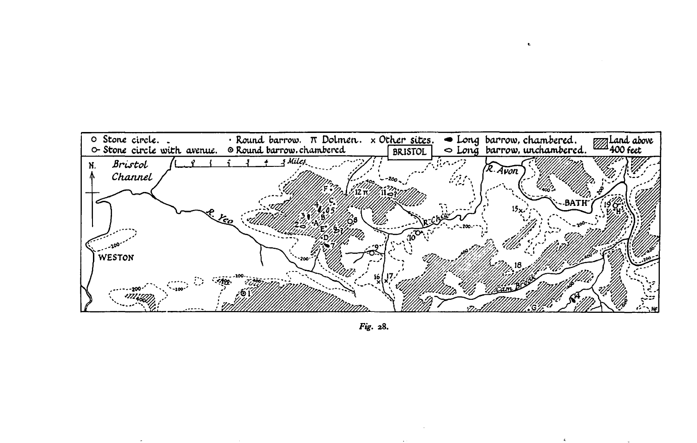

 $\mathbf{c}$ 

Fig. 28.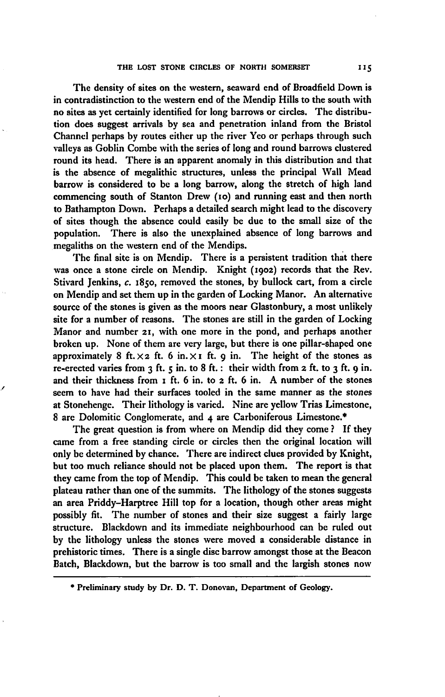The density of sites on the western, seaward end of Broadfield Down is in contradistinction to the western end of the Mendip Hills to the south with no sites as yet certainly identified for long barrows or circles. The distribution does suggest arrivals by sea and penetration inland from the Bristol Channel perhaps by routes either up the river Yeo or perhaps through such valleys as Goblin Combe with the series of long and round barrows clustered round its head. There is an apparent anomaly in this distribution and that is the absence of megalithic structures, unless the principal Wall Mead barrow is considered to be a long barrow, along the stretch of high land commencing south of Stanton Drew (10) and running east and then north to Bathampton Down. Perhaps a detailed search might lead to the discovery of sites though the absence could easily be due to the small size of the population. There is also the unexplained absence of long barrows and megaliths on the western end of the Mendips.

The final site is on Mendip. There is a persistent tradition that there was once a stone circle on Mendip. Knight (1902) records that the Rev. Stivard Jenkins, *c.* 1850, removed the stones, by bullock cart, from a circle on Mendip and set them up in the garden of Locking Manor. An alternative source of the stones is given as the moors near Glastonbury, a most unlikely site for a number of reasons. The stones are still in the garden of Locking Manor and number 21, with one more in the pond, and perhaps another broken up. None of them are very large, but there is one pillar-shaped one approximately 8 ft.  $\times$  2 ft. 6 in.  $\times$  I ft. 9 in. The height of the stones as re-erected varies from  $3$  ft.  $5$  in. to  $8$  ft.: their width from  $2$  ft. to  $3$  ft.  $9$  in. and their thickness from I ft. 6 in. to 2 ft. 6 in. A number of the stones seem to have had their surfaces tooled in the same manner as the stones at Stonehenge. Their lithology is varied. Nine are yellow Trias Limestone, 8 are Dolomitic Conglomerate, and 4 are Carboniferous Limestone.\*

-'

The great question is from where on Mendip did they come? If they came from a free standing circle or circles then the original location will only be determined by chance. There are indirect clues provided by Knight, but too much reliance should not be placed upon them. The report is that they came from the top of Mendip. This could be taken to mean the general plateau rather than one of the summits. The lithology of the stones suggests an area Priddy-Harptree Hill top for a location, though other areas might possibly fit. The number of stones and their size suggest a fairly large structure. B1ackdown and its immediate neighbourhood can be ruled out by the lithology unless the stones were moved a considerable distance in prehistoric times. There is a single disc barrow amongst those at the Beacon Batch, Blackdown, but the barrow is too small and the largish stones now

<sup>•</sup> Preliminary study by Dr. D. T. Donovan, Department of Geology.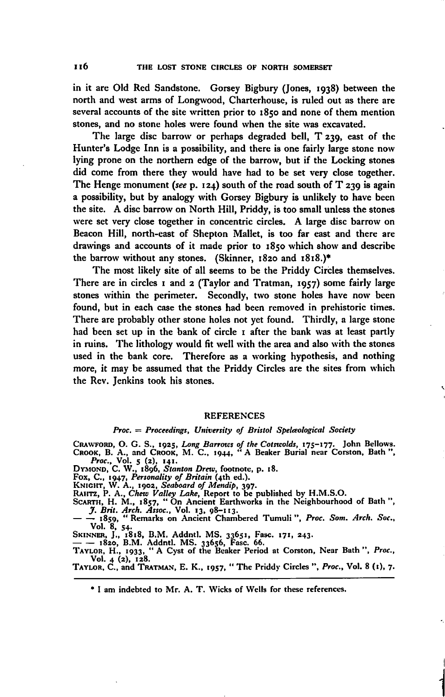in it are Old Red Sandstone. Gorsey Bigbury (Jones, 1938) between the north and west arms of Longwood, Charterhouse, is ruled out as there are several accounts of the site written prior to 1850 and none of them mention stones, and no stone holes were found when the site was excavated.

The large disc barrow or perhaps degraded bell, T *z39,* east of the Hunter's Lodge Inn is a possibility, and there is one fairly large stone now lying prone on the northern edge of the barrow, but if the Locking stones did come from there they would have had to be set very close together. The Henge monument *(see* p. 124) south of the road south of T *z39* is again a possibility, but by analogy with Gorsey Bigbury is unlikely to have been the site. A disc barrow on North Hill, Priddy, is too small unless the stones were set very close together in concentric circles. A large disc barrow on Beacon Hill, north-east of Shepton Mallet, is too far east and there are drawings and accounts of it made prior to 1850 which show and describe the barrow without any stones. (Skinner, 1820 and 1818.)·

The most likely site of all seems to be the Priddy Circles themselves. There are in circles 1 and 2 (Taylor and Tratman, 1957) some fairly large stones within the perimeter. Secondly, two stone holes have now been found, but in each case the stones had been removed in prehistoric times. There are probably other stone holes not yet found. Thirdly, a large stone had been set up in the bank of circle I after the bank was at least partly in ruins. The lithology would fit well with the area and also with the stones used in the bank core. Therefore as a working hypothesis, and nothing more, it may be assumed that the Priddy Circles are the sites from which the Rev. Jenkins took his stones.

#### REFERENCES

#### *Proc.* = *Proceedings, University of Bristol Spelaological Society*

CRAWFORD, O. G. S., 1925, Long Barrows of the Cotswolds, 175-177. John Bellows.<br>CROOK, B. A., and CROOK, M. C., 1944, "A Beaker Burial near Corston, Bath",<br>Prec., Vol. 5 (2), 141.<br>DYMOND, C. W., 1896, Stanton Drew, footnot

Vol. 8. 54.

SKINNER, J., 1818, B.M. Addntl. MS. 33651, Fasc. 171, 243.<br>— — 1820, B.M. Addntl. MS. 33656, Fasc. 66.<br>TAYLOR, H., 1933, " A Cyst of the Beaker Period at Corston, Near Bath", *Proc*., Vol. 4 (2), 128.<br>TAYLOR, C., and TRATMAN, E. K., 1957, "The Priddy Circles ", *Proc.*, Vol. 8 (1), 7.

I

Ń

**i** 

• I am indebted to Mr. A. T. Wicks of Wells for these references.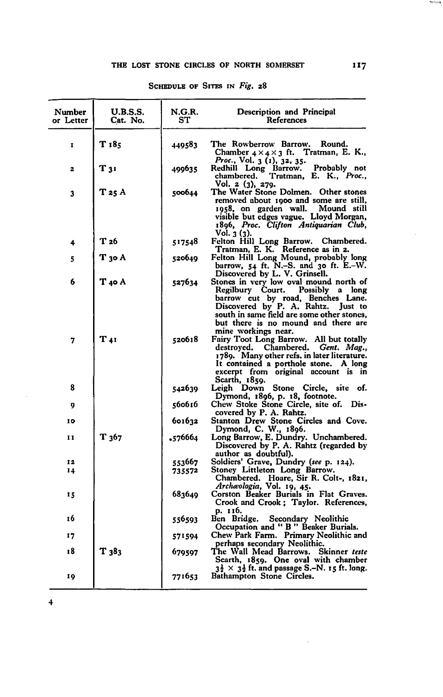### THE LOST STONE CIRCLES OF NORTH SOMERSET 117

| Number<br>or Letter | <b>U.B.S.S.</b><br>Cat. No. | N.G.R.<br>SТ | Description and Principal<br>References                                                                                                                                                                                                       |
|---------------------|-----------------------------|--------------|-----------------------------------------------------------------------------------------------------------------------------------------------------------------------------------------------------------------------------------------------|
| 1                   | T 185                       | 449583       | The Rowberrow Barrow.<br>Round.<br>Chamber $4 \times 4 \times 3$ ft. Tratman, E. K.,                                                                                                                                                          |
| 2                   | T 31                        | 499635       | Proc., Vol. 3 (1), 32, 35.<br>Redhill Long Barrow. Probably not chambered. Tratman, E. K., Proc.,                                                                                                                                             |
| 3                   | T 25 A                      | 500644       | Vol. 2 (3), 279.<br>The Water Stone Dolmen. Other stones<br>removed about 1900 and some are still,<br>1958, on garden wall.<br>Mound still<br>visible but edges vague. Lloyd Morgan,<br>1896, Proc. Clifton Antiquarian Club,<br>Vol. 3 (3).  |
| 4                   | T 26                        | 517548       | Felton Hill Long Barrow. Chambered.<br>Tratman, E. K. Reference as in 2.                                                                                                                                                                      |
| 5                   | T 30 A                      | 520649       | Felton Hill Long Mound, probably long<br>barrow, $54$ ft. N.–S. and $30$ ft. E.–W.<br>Discovered by L. V. Grinsell.                                                                                                                           |
| 6                   | T 40 A                      | 527634       | Stones in very low oval mound north of<br>Regilbury Court.<br>Possibly a long<br>barrow cut by road, Benches Lane.<br>Discovered by P. A. Rahtz. Just to<br>south in same field are some other stones.<br>but there is no mound and there are |
| 7                   | T 41                        | 520618       | mine workings near.<br>Fairy Toot Long Barrow. All but totally<br>destroyed. Chambered.<br>Gent. Mag.<br>1789. Many other refs. in later literature.<br>It contained a porthole stone. A long<br>excerpt from original account is in          |
| 8                   |                             | 542639       | Scarth, 1859.<br>Down Stone<br>Circle,<br>site of.<br>Leigh                                                                                                                                                                                   |
| 9                   |                             | 560616       | Dymond, 1896, p. 18, footnote.<br>Chew Stoke Stone Circle, site of. Dis-<br>covered by P. A. Rahtz.                                                                                                                                           |
| 10                  |                             | 601632       | Stanton Drew Stone Circles and Cove.<br>Dymond, C. W., 1896.                                                                                                                                                                                  |
| 11                  | $T_{367}$                   | .576664      | Long Barrow, E. Dundry. Unchambered.<br>Discovered by P. A. Rahtz (regarded by<br>author as doubtful).                                                                                                                                        |
| 12                  |                             | 553667       | Soldiers' Grave, Dundry (see p. 124).                                                                                                                                                                                                         |
| 14                  |                             | 735572       | Stoney Littleton Long Barrow.<br>Chambered. Hoare, Sir R. Colt-, 1821,                                                                                                                                                                        |
| 15                  |                             | 683649       | Archæologia, Vol. 19, 45.<br>Corston Beaker Burials in Flat Graves.<br>Crook and Crook; Taylor. References,                                                                                                                                   |
| 16                  |                             | 556593       | p. 116.<br>Ben Bridge.<br>Secondary Neolithic<br>Occupation and " B " Beaker Burials.                                                                                                                                                         |
| 17                  |                             | 571594       | Chew Park Farm. Primary Neolithic and<br>perhaps secondary Neolithic.                                                                                                                                                                         |
| 18                  | T 383                       | 679597       | The Wall Mead Barrows. Skinner teste<br>Scarth, 1859. One oval with chamber                                                                                                                                                                   |
| 19                  |                             | 771653       | $3\frac{1}{2} \times 3\frac{1}{2}$ ft, and passage S.–N. 15 ft. long.<br>Bathampton Stone Circles.                                                                                                                                            |

 $\bar{\mathcal{A}}$ 

## SCHEDULE OF SITES IN Fig. 28

4

**The Contract**